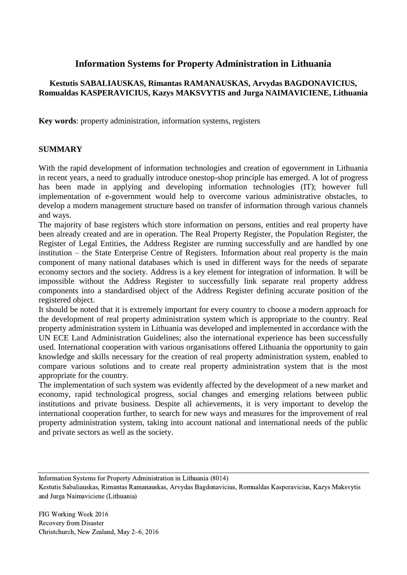# **Information Systems for Property Administration in Lithuania**

## **Kestutis SABALIAUSKAS, Rimantas RAMANAUSKAS, Arvydas BAGDONAVICIUS, Romualdas KASPERAVICIUS, Kazys MAKSVYTIS and Jurga NAIMAVICIENE, Lithuania**

**Key words**: property administration, information systems, registers

#### **SUMMARY**

With the rapid development of information technologies and creation of egovernment in Lithuania in recent years, a need to gradually introduce onestop-shop principle has emerged. A lot of progress has been made in applying and developing information technologies (IT); however full implementation of e-government would help to overcome various administrative obstacles, to develop a modern management structure based on transfer of information through various channels and ways.

The majority of base registers which store information on persons, entities and real property have been already created and are in operation. The Real Property Register, the Population Register, the Register of Legal Entities, the Address Register are running successfully and are handled by one institution – the State Enterprise Centre of Registers. Information about real property is the main component of many national databases which is used in different ways for the needs of separate economy sectors and the society. Address is a key element for integration of information. It will be impossible without the Address Register to successfully link separate real property address components into a standardised object of the Address Register defining accurate position of the registered object.

It should be noted that it is extremely important for every country to choose a modern approach for the development of real property administration system which is appropriate to the country. Real property administration system in Lithuania was developed and implemented in accordance with the UN ECE Land Administration Guidelines; also the international experience has been successfully used. International cooperation with various organisations offered Lithuania the opportunity to gain knowledge and skills necessary for the creation of real property administration system, enabled to compare various solutions and to create real property administration system that is the most appropriate for the country.

The implementation of such system was evidently affected by the development of a new market and economy, rapid technological progress, social changes and emerging relations between public institutions and private business. Despite all achievements, it is very important to develop the international cooperation further, to search for new ways and measures for the improvement of real property administration system, taking into account national and international needs of the public and private sectors as well as the society.

Information Systems for Property Administration in Lithuania (8014)

Kestutis Sabaliauskas, Rimantas Ramanauskas, Arvydas Bagdonavicius, Romualdas Kasperavicius, Kazys Maksvytis and Jurga Naimaviciene (Lithuania)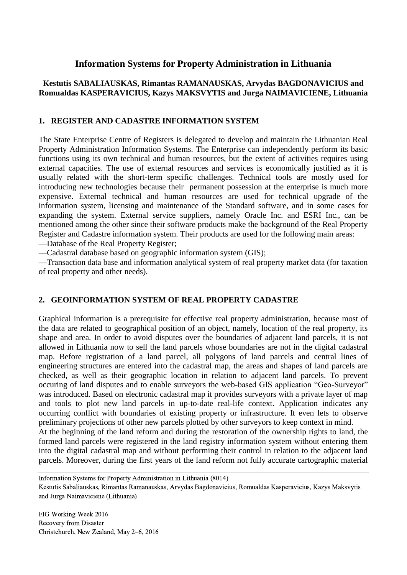# **Information Systems for Property Administration in Lithuania**

## **Kestutis SABALIAUSKAS, Rimantas RAMANAUSKAS, Arvydas BAGDONAVICIUS and Romualdas KASPERAVICIUS, Kazys MAKSVYTIS and Jurga NAIMAVICIENE, Lithuania**

#### **1. REGISTER AND CADASTRE INFORMATION SYSTEM**

The State Enterprise Centre of Registers is delegated to develop and maintain the Lithuanian Real Property Administration Information Systems. The Enterprise can independently perform its basic functions using its own technical and human resources, but the extent of activities requires using external capacities. The use of external resources and services is economically justified as it is usually related with the short-term specific challenges. Technical tools are mostly used for introducing new technologies because their permanent possession at the enterprise is much more expensive. External technical and human resources are used for technical upgrade of the information system, licensing and maintenance of the Standard software, and in some cases for expanding the system. External service suppliers, namely Oracle Inc. and ESRI Inc., can be mentioned among the other since their software products make the background of the Real Property Register and Cadastre information system. Their products are used for the following main areas:

––Database of the Real Property Register;

––Cadastral database based on geographic information system (GIS);

––Transaction data base and information analytical system of real property market data (for taxation of real property and other needs).

#### **2. GEOINFORMATION SYSTEM OF REAL PROPERTY CADASTRE**

Graphical information is a prerequisite for effective real property administration, because most of the data are related to geographical position of an object, namely, location of the real property, its shape and area. In order to avoid disputes over the boundaries of adjacent land parcels, it is not allowed in Lithuania now to sell the land parcels whose boundaries are not in the digital cadastral map. Before registration of a land parcel, all polygons of land parcels and central lines of engineering structures are entered into the cadastral map, the areas and shapes of land parcels are checked, as well as their geographic location in relation to adjacent land parcels. To prevent occuring of land disputes and to enable surveyors the web-based GIS application "Geo-Surveyor" was introduced. Based on electronic cadastral map it provides surveyors with a private layer of map and tools to plot new land parcels in up-to-date real-life context. Application indicates any occurring conflict with boundaries of existing property or infrastructure. It even lets to observe preliminary projections of other new parcels plotted by other surveyors to keep context in mind.

At the beginning of the land reform and during the restoration of the ownership rights to land, the formed land parcels were registered in the land registry information system without entering them into the digital cadastral map and without performing their control in relation to the adjacent land parcels. Moreover, during the first years of the land reform not fully accurate cartographic material

Information Systems for Property Administration in Lithuania (8014) Kestutis Sabaliauskas, Rimantas Ramanauskas, Arvydas Bagdonavicius, Romualdas Kasperavicius, Kazys Maksvytis and Jurga Naimaviciene (Lithuania)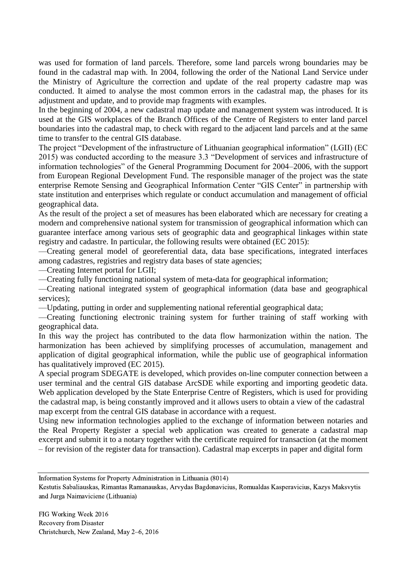was used for formation of land parcels. Therefore, some land parcels wrong boundaries may be found in the cadastral map with. In 2004, following the order of the National Land Service under the Ministry of Agriculture the correction and update of the real property cadastre map was conducted. It aimed to analyse the most common errors in the cadastral map, the phases for its adjustment and update, and to provide map fragments with examples.

In the beginning of 2004, a new cadastral map update and management system was introduced. It is used at the GIS workplaces of the Branch Offices of the Centre of Registers to enter land parcel boundaries into the cadastral map, to check with regard to the adjacent land parcels and at the same time to transfer to the central GIS database.

The project "Development of the infrastructure of Lithuanian geographical information" (LGII) (EC 2015) was conducted according to the measure 3.3 "Development of services and infrastructure of information technologies" of the General Programming Document for 2004–2006, with the support from European Regional Development Fund. The responsible manager of the project was the state enterprise Remote Sensing and Geographical Information Center "GIS Center" in partnership with state institution and enterprises which regulate or conduct accumulation and management of official geographical data.

As the result of the project a set of measures has been elaborated which are necessary for creating a modern and comprehensive national system for transmission of geographical information which can guarantee interface among various sets of geographic data and geographical linkages within state registry and cadastre. In particular, the following results were obtained (EC 2015):

––Creating general model of georeferential data, data base specifications, integrated interfaces among cadastres, registries and registry data bases of state agencies;

––Creating Internet portal for LGII;

––Creating fully functioning national system of meta-data for geographical information;

––Creating national integrated system of geographical information (data base and geographical services);

––Updating, putting in order and supplementing national referential geographical data;

––Creating functioning electronic training system for further training of staff working with geographical data.

In this way the project has contributed to the data flow harmonization within the nation. The harmonization has been achieved by simplifying processes of accumulation, management and application of digital geographical information, while the public use of geographical information has qualitatively improved (EC 2015).

A special program SDEGATE is developed, which provides on-line computer connection between a user terminal and the central GIS database ArcSDE while exporting and importing geodetic data. Web application developed by the State Enterprise Centre of Registers, which is used for providing the cadastral map, is being constantly improved and it allows users to obtain a view of the cadastral map excerpt from the central GIS database in accordance with a request.

Using new information technologies applied to the exchange of information between notaries and the Real Property Register a special web application was created to generate a cadastral map excerpt and submit it to a notary together with the certificate required for transaction (at the moment – for revision of the register data for transaction). Cadastral map excerpts in paper and digital form

Information Systems for Property Administration in Lithuania (8014)

Kestutis Sabaliauskas, Rimantas Ramanauskas, Arvydas Bagdonavicius, Romualdas Kasperavicius, Kazys Maksvytis and Jurga Naimaviciene (Lithuania)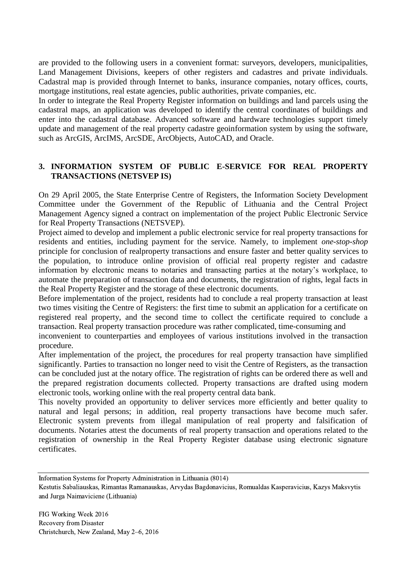are provided to the following users in a convenient format: surveyors, developers, municipalities, Land Management Divisions, keepers of other registers and cadastres and private individuals. Cadastral map is provided through Internet to banks, insurance companies, notary offices, courts, mortgage institutions, real estate agencies, public authorities, private companies, etc.

In order to integrate the Real Property Register information on buildings and land parcels using the cadastral maps, an application was developed to identify the central coordinates of buildings and enter into the cadastral database. Advanced software and hardware technologies support timely update and management of the real property cadastre geoinformation system by using the software, such as ArcGIS, ArcIMS, ArcSDE, ArcObjects, AutoCAD, and Oracle.

#### **3. INFORMATION SYSTEM OF PUBLIC E-SERVICE FOR REAL PROPERTY TRANSACTIONS (NETSVEP IS)**

On 29 April 2005, the State Enterprise Centre of Registers, the Information Society Development Committee under the Government of the Republic of Lithuania and the Central Project Management Agency signed a contract on implementation of the project Public Electronic Service for Real Property Transactions (NETSVEP).

Project aimed to develop and implement a public electronic service for real property transactions for residents and entities, including payment for the service. Namely, to implement *one-stop-shop*  principle for conclusion of realproperty transactions and ensure faster and better quality services to the population, to introduce online provision of official real property register and cadastre information by electronic means to notaries and transacting parties at the notary's workplace, to automate the preparation of transaction data and documents, the registration of rights, legal facts in the Real Property Register and the storage of these electronic documents.

Before implementation of the project, residents had to conclude a real property transaction at least two times visiting the Centre of Registers: the first time to submit an application for a certificate on registered real property, and the second time to collect the certificate required to conclude a transaction. Real property transaction procedure was rather complicated, time-consuming and

inconvenient to counterparties and employees of various institutions involved in the transaction procedure.

After implementation of the project, the procedures for real property transaction have simplified significantly. Parties to transaction no longer need to visit the Centre of Registers, as the transaction can be concluded just at the notary office. The registration of rights can be ordered there as well and the prepared registration documents collected. Property transactions are drafted using modern electronic tools, working online with the real property central data bank.

This novelty provided an opportunity to deliver services more efficiently and better quality to natural and legal persons; in addition, real property transactions have become much safer. Electronic system prevents from illegal manipulation of real property and falsification of documents. Notaries attest the documents of real property transaction and operations related to the registration of ownership in the Real Property Register database using electronic signature certificates.

Information Systems for Property Administration in Lithuania (8014)

Kestutis Sabaliauskas, Rimantas Ramanauskas, Arvydas Bagdonavicius, Romualdas Kasperavicius, Kazys Maksvytis and Jurga Naimaviciene (Lithuania)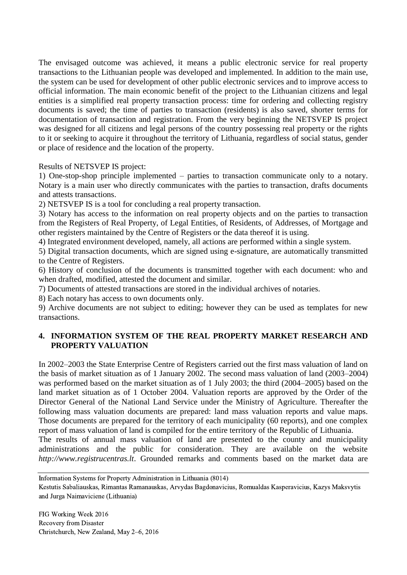The envisaged outcome was achieved, it means a public electronic service for real property transactions to the Lithuanian people was developed and implemented. In addition to the main use, the system can be used for development of other public electronic services and to improve access to official information. The main economic benefit of the project to the Lithuanian citizens and legal entities is a simplified real property transaction process: time for ordering and collecting registry documents is saved; the time of parties to transaction (residents) is also saved, shorter terms for documentation of transaction and registration. From the very beginning the NETSVEP IS project was designed for all citizens and legal persons of the country possessing real property or the rights to it or seeking to acquire it throughout the territory of Lithuania, regardless of social status, gender or place of residence and the location of the property.

Results of NETSVEP IS project:

1) One-stop-shop principle implemented – parties to transaction communicate only to a notary. Notary is a main user who directly communicates with the parties to transaction, drafts documents and attests transactions.

2) NETSVEP IS is a tool for concluding a real property transaction.

3) Notary has access to the information on real property objects and on the parties to transaction from the Registers of Real Property, of Legal Entities, of Residents, of Addresses, of Mortgage and other registers maintained by the Centre of Registers or the data thereof it is using.

4) Integrated environment developed, namely, all actions are performed within a single system.

5) Digital transaction documents, which are signed using e-signature, are automatically transmitted to the Centre of Registers.

6) History of conclusion of the documents is transmitted together with each document: who and when drafted, modified, attested the document and similar.

7) Documents of attested transactions are stored in the individual archives of notaries.

8) Each notary has access to own documents only.

9) Archive documents are not subject to editing; however they can be used as templates for new transactions.

## **4. INFORMATION SYSTEM OF THE REAL PROPERTY MARKET RESEARCH AND PROPERTY VALUATION**

In 2002–2003 the State Enterprise Centre of Registers carried out the first mass valuation of land on the basis of market situation as of 1 January 2002. The second mass valuation of land (2003–2004) was performed based on the market situation as of 1 July 2003; the third (2004–2005) based on the land market situation as of 1 October 2004. Valuation reports are approved by the Order of the Director General of the National Land Service under the Ministry of Agriculture. Thereafter the following mass valuation documents are prepared: land mass valuation reports and value maps. Those documents are prepared for the territory of each municipality (60 reports), and one complex report of mass valuation of land is compiled for the entire territory of the Republic of Lithuania. The results of annual mass valuation of land are presented to the county and municipality

administrations and the public for consideration. They are available on the website *http://www.registrucentras.lt*. Grounded remarks and comments based on the market data are

Kestutis Sabaliauskas, Rimantas Ramanauskas, Arvydas Bagdonavicius, Romualdas Kasperavicius, Kazys Maksvytis and Jurga Naimaviciene (Lithuania)

Information Systems for Property Administration in Lithuania (8014)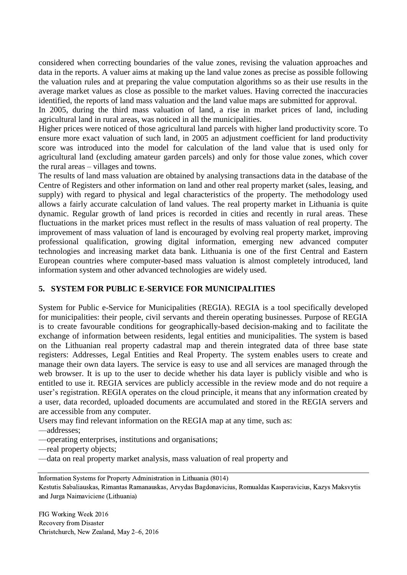considered when correcting boundaries of the value zones, revising the valuation approaches and data in the reports. A valuer aims at making up the land value zones as precise as possible following the valuation rules and at preparing the value computation algorithms so as their use results in the average market values as close as possible to the market values. Having corrected the inaccuracies identified, the reports of land mass valuation and the land value maps are submitted for approval.

In 2005, during the third mass valuation of land, a rise in market prices of land, including agricultural land in rural areas, was noticed in all the municipalities.

Higher prices were noticed of those agricultural land parcels with higher land productivity score. To ensure more exact valuation of such land, in 2005 an adjustment coefficient for land productivity score was introduced into the model for calculation of the land value that is used only for agricultural land (excluding amateur garden parcels) and only for those value zones, which cover the rural areas – villages and towns.

The results of land mass valuation are obtained by analysing transactions data in the database of the Centre of Registers and other information on land and other real property market (sales, leasing, and supply) with regard to physical and legal characteristics of the property. The methodology used allows a fairly accurate calculation of land values. The real property market in Lithuania is quite dynamic. Regular growth of land prices is recorded in cities and recently in rural areas. These fluctuations in the market prices must reflect in the results of mass valuation of real property. The improvement of mass valuation of land is encouraged by evolving real property market, improving professional qualification, growing digital information, emerging new advanced computer technologies and increasing market data bank. Lithuania is one of the first Central and Eastern European countries where computer-based mass valuation is almost completely introduced, land information system and other advanced technologies are widely used.

#### **5. SYSTEM FOR PUBLIC E-SERVICE FOR MUNICIPALITIES**

System for Public e-Service for Municipalities (REGIA). REGIA is a tool specifically developed for municipalities: their people, civil servants and therein operating businesses. Purpose of REGIA is to create favourable conditions for geographically-based decision-making and to facilitate the exchange of information between residents, legal entities and municipalities. The system is based on the Lithuanian real property cadastral map and therein integrated data of three base state registers: Addresses, Legal Entities and Real Property. The system enables users to create and manage their own data layers. The service is easy to use and all services are managed through the web browser. It is up to the user to decide whether his data layer is publicly visible and who is entitled to use it. REGIA services are publicly accessible in the review mode and do not require a user's registration. REGIA operates on the cloud principle, it means that any information created by a user, data recorded, uploaded documents are accumulated and stored in the REGIA servers and are accessible from any computer.

Users may find relevant information on the REGIA map at any time, such as: ––addresses;

––operating enterprises, institutions and organisations;

––real property objects;

––data on real property market analysis, mass valuation of real property and

Information Systems for Property Administration in Lithuania (8014) Kestutis Sabaliauskas, Rimantas Ramanauskas, Arvydas Bagdonavicius, Romualdas Kasperavicius, Kazys Maksvytis and Jurga Naimaviciene (Lithuania)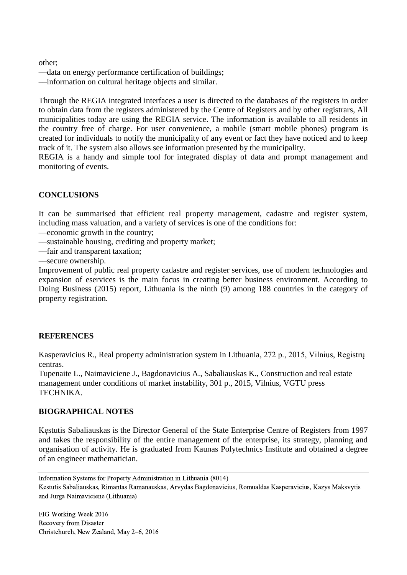other;

––data on energy performance certification of buildings;

––information on cultural heritage objects and similar.

Through the REGIA integrated interfaces a user is directed to the databases of the registers in order to obtain data from the registers administered by the Centre of Registers and by other registrars, All municipalities today are using the REGIA service. The information is available to all residents in the country free of charge. For user convenience, a mobile (smart mobile phones) program is created for individuals to notify the municipality of any event or fact they have noticed and to keep track of it. The system also allows see information presented by the municipality.

REGIA is a handy and simple tool for integrated display of data and prompt management and monitoring of events.

## **CONCLUSIONS**

It can be summarised that efficient real property management, cadastre and register system, including mass valuation, and a variety of services is one of the conditions for:

––economic growth in the country;

––sustainable housing, crediting and property market;

––fair and transparent taxation;

––secure ownership.

Improvement of public real property cadastre and register services, use of modern technologies and expansion of eservices is the main focus in creating better business environment. According to Doing Business (2015) report, Lithuania is the ninth (9) among 188 countries in the category of property registration.

#### **REFERENCES**

Kasperavicius R., Real property administration system in Lithuania, 272 p., 2015, Vilnius, Registrų centras.

Tupenaite L., Naimaviciene J., Bagdonavicius A., Sabaliauskas K., Construction and real estate management under conditions of market instability, 301 p., 2015, Vilnius, VGTU press TECHNIKA.

#### **BIOGRAPHICAL NOTES**

Kęstutis Sabaliauskas is the Director General of the State Enterprise Centre of Registers from 1997 and takes the responsibility of the entire management of the enterprise, its strategy, planning and organisation of activity. He is graduated from Kaunas Polytechnics Institute and obtained a degree of an engineer mathematician.

Information Systems for Property Administration in Lithuania (8014) Kestutis Sabaliauskas, Rimantas Ramanauskas, Arvydas Bagdonavicius, Romualdas Kasperavicius, Kazys Maksvytis and Jurga Naimaviciene (Lithuania)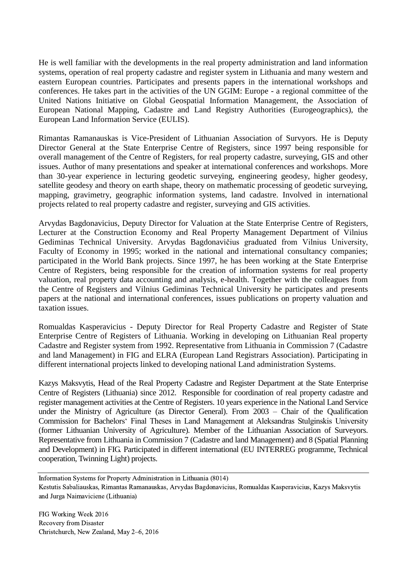He is well familiar with the developments in the real property administration and land information systems, operation of real property cadastre and register system in Lithuania and many western and eastern European countries. Participates and presents papers in the international workshops and conferences. He takes part in the activities of the UN GGIM: Europe - a regional committee of the United Nations Initiative on Global Geospatial Information Management, the Association of European National Mapping, Cadastre and Land Registry Authorities (Eurogeographics), the European Land Information Service (EULIS).

Rimantas Ramanauskas is Vice-President of Lithuanian Association of Survyors. He is Deputy Director General at the State Enterprise Centre of Registers, since 1997 being responsible for overall management of the Centre of Registers, for real property cadastre, surveying, GIS and other issues. Author of many presentations and speaker at international conferences and workshops. More than 30-year experience in lecturing geodetic surveying, engineering geodesy, higher geodesy, satellite geodesy and theory on earth shape, theory on mathematic processing of geodetic surveying, mapping, gravimetry, geographic information systems, land cadastre. Involved in international projects related to real property cadastre and register, surveying and GIS activities.

Arvydas Bagdonavicius, Deputy Director for Valuation at the State Enterprise Centre of Registers, Lecturer at the Construction Economy and Real Property Management Department of Vilnius Gediminas Technical University. Arvydas Bagdonavičius graduated from Vilnius University, Faculty of Economy in 1995; worked in the national and international consultancy companies; participated in the World Bank projects. Since 1997, he has been working at the State Enterprise Centre of Registers, being responsible for the creation of information systems for real property valuation, real property data accounting and analysis, e-health. Together with the colleagues from the Centre of Registers and Vilnius Gediminas Technical University he participates and presents papers at the national and international conferences, issues publications on property valuation and taxation issues.

Romualdas Kasperavicius - Deputy Director for Real Property Cadastre and Register of State Enterprise Centre of Registers of Lithuania. Working in developing on Lithuanian Real property Cadastre and Register system from 1992. Representative from Lithuania in Commission 7 (Cadastre and land Management) in FIG and ELRA (European Land Registrars Association). Participating in different international projects linked to developing national Land administration Systems.

Kazys Maksvytis, Head of the Real Property Cadastre and Register Department at the State Enterprise Centre of Registers (Lithuania) since 2012. Responsible for coordination of real property cadastre and register management activities at the Centre of Registers. 10 years experience in the National Land Service under the Ministry of Agriculture (as Director General). From 2003 – Chair of the Qualification Commission for Bachelors' Final Theses in Land Management at Aleksandras Stulginskis University (former Lithuanian University of Agriculture). Member of the Lithuanian Association of Surveyors. Representative from Lithuania in Commission 7 (Cadastre and land Management) and 8 (Spatial Planning and Development) in FIG. Participated in different international (EU INTERREG programme, Technical cooperation, Twinning Light) projects.

Information Systems for Property Administration in Lithuania (8014) Kestutis Sabaliauskas, Rimantas Ramanauskas, Arvydas Bagdonavicius, Romualdas Kasperavicius, Kazys Maksvytis and Jurga Naimaviciene (Lithuania)